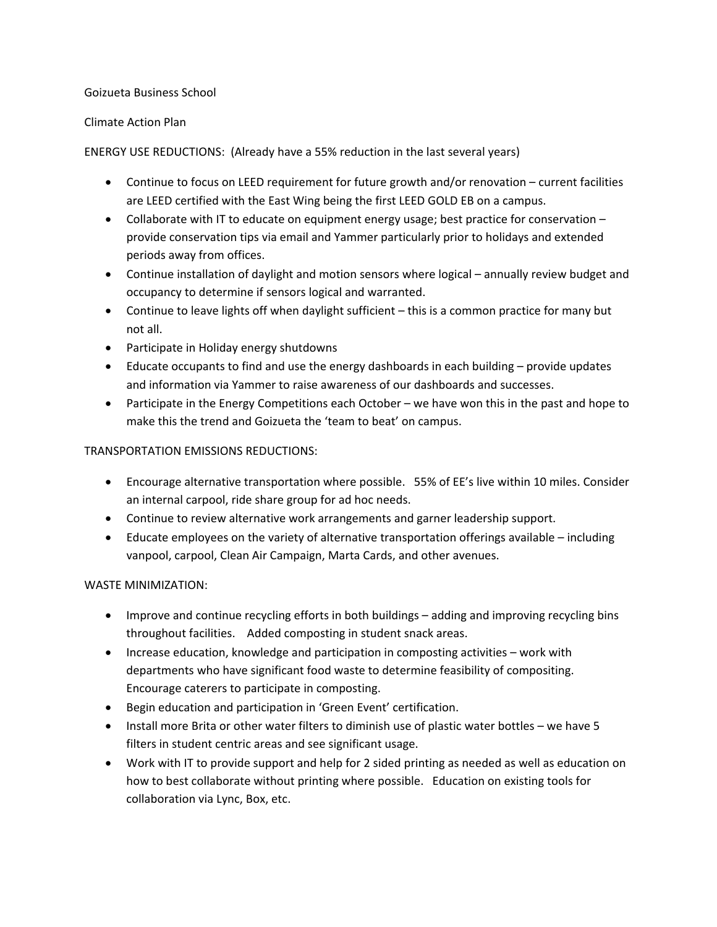#### Goizueta Business School

#### Climate Action Plan

ENERGY USE REDUCTIONS: (Already have a 55% reduction in the last several years)

- Continue to focus on LEED requirement for future growth and/or renovation current facilities are LEED certified with the East Wing being the first LEED GOLD EB on a campus.
- Collaborate with IT to educate on equipment energy usage; best practice for conservation provide conservation tips via email and Yammer particularly prior to holidays and extended periods away from offices.
- Continue installation of daylight and motion sensors where logical annually review budget and occupancy to determine if sensors logical and warranted.
- Continue to leave lights off when daylight sufficient this is a common practice for many but not all.
- Participate in Holiday energy shutdowns
- Educate occupants to find and use the energy dashboards in each building provide updates and information via Yammer to raise awareness of our dashboards and successes.
- Participate in the Energy Competitions each October we have won this in the past and hope to make this the trend and Goizueta the 'team to beat' on campus.

## TRANSPORTATION EMISSIONS REDUCTIONS:

- Encourage alternative transportation where possible. 55% of EE's live within 10 miles. Consider an internal carpool, ride share group for ad hoc needs.
- Continue to review alternative work arrangements and garner leadership support.
- Educate employees on the variety of alternative transportation offerings available including vanpool, carpool, Clean Air Campaign, Marta Cards, and other avenues.

#### WASTE MINIMIZATION:

- Improve and continue recycling efforts in both buildings adding and improving recycling bins throughout facilities. Added composting in student snack areas.
- Increase education, knowledge and participation in composting activities work with departments who have significant food waste to determine feasibility of compositing. Encourage caterers to participate in composting.
- Begin education and participation in 'Green Event' certification.
- Install more Brita or other water filters to diminish use of plastic water bottles we have 5 filters in student centric areas and see significant usage.
- Work with IT to provide support and help for 2 sided printing as needed as well as education on how to best collaborate without printing where possible. Education on existing tools for collaboration via Lync, Box, etc.